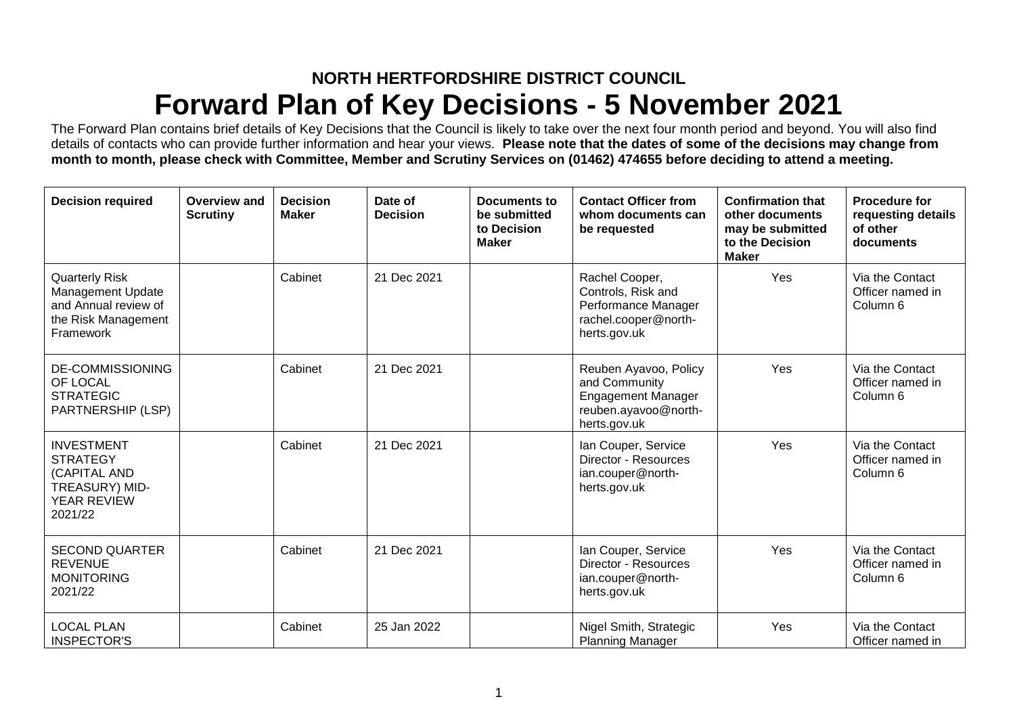## **NORTH HERTFORDSHIRE DISTRICT COUNCIL Forward Plan of Key Decisions - 5 November 2021**

The Forward Plan contains brief details of Key Decisions that the Council is likely to take over the next four month period and beyond. You will also find details of contacts who can provide further information and hear your views. **Please note that the dates of some of the decisions may change from month to month, please check with Committee, Member and Scrutiny Services on (01462) 474655 before deciding to attend a meeting.**

| <b>Decision required</b>                                                                                      | Overview and<br><b>Scrutiny</b> | <b>Decision</b><br><b>Maker</b> | Date of<br><b>Decision</b> | Documents to<br>be submitted<br>to Decision<br><b>Maker</b> | <b>Contact Officer from</b><br>whom documents can<br>be requested                                           | <b>Confirmation that</b><br>other documents<br>may be submitted<br>to the Decision<br><b>Maker</b> | <b>Procedure for</b><br>requesting details<br>of other<br>documents |
|---------------------------------------------------------------------------------------------------------------|---------------------------------|---------------------------------|----------------------------|-------------------------------------------------------------|-------------------------------------------------------------------------------------------------------------|----------------------------------------------------------------------------------------------------|---------------------------------------------------------------------|
| <b>Quarterly Risk</b><br><b>Management Update</b><br>and Annual review of<br>the Risk Management<br>Framework |                                 | Cabinet                         | 21 Dec 2021                |                                                             | Rachel Cooper,<br>Controls, Risk and<br>Performance Manager<br>rachel.cooper@north-<br>herts.gov.uk         | Yes                                                                                                | Via the Contact<br>Officer named in<br>Column <sub>6</sub>          |
| <b>DE-COMMISSIONING</b><br>OF LOCAL<br><b>STRATEGIC</b><br>PARTNERSHIP (LSP)                                  |                                 | Cabinet                         | 21 Dec 2021                |                                                             | Reuben Ayavoo, Policy<br>and Community<br><b>Engagement Manager</b><br>reuben.ayavoo@north-<br>herts.gov.uk | Yes                                                                                                | Via the Contact<br>Officer named in<br>Column <sub>6</sub>          |
| <b>INVESTMENT</b><br><b>STRATEGY</b><br>(CAPITAL AND<br>TREASURY) MID-<br>YEAR REVIEW<br>2021/22              |                                 | Cabinet                         | 21 Dec 2021                |                                                             | Ian Couper, Service<br>Director - Resources<br>ian.couper@north-<br>herts.gov.uk                            | Yes                                                                                                | Via the Contact<br>Officer named in<br>Column 6                     |
| <b>SECOND QUARTER</b><br><b>REVENUE</b><br><b>MONITORING</b><br>2021/22                                       |                                 | Cabinet                         | 21 Dec 2021                |                                                             | Ian Couper, Service<br>Director - Resources<br>ian.couper@north-<br>herts.gov.uk                            | Yes                                                                                                | Via the Contact<br>Officer named in<br>Column <sub>6</sub>          |
| <b>LOCAL PLAN</b><br><b>INSPECTOR'S</b>                                                                       |                                 | Cabinet                         | 25 Jan 2022                |                                                             | Nigel Smith, Strategic<br><b>Planning Manager</b>                                                           | Yes                                                                                                | Via the Contact<br>Officer named in                                 |